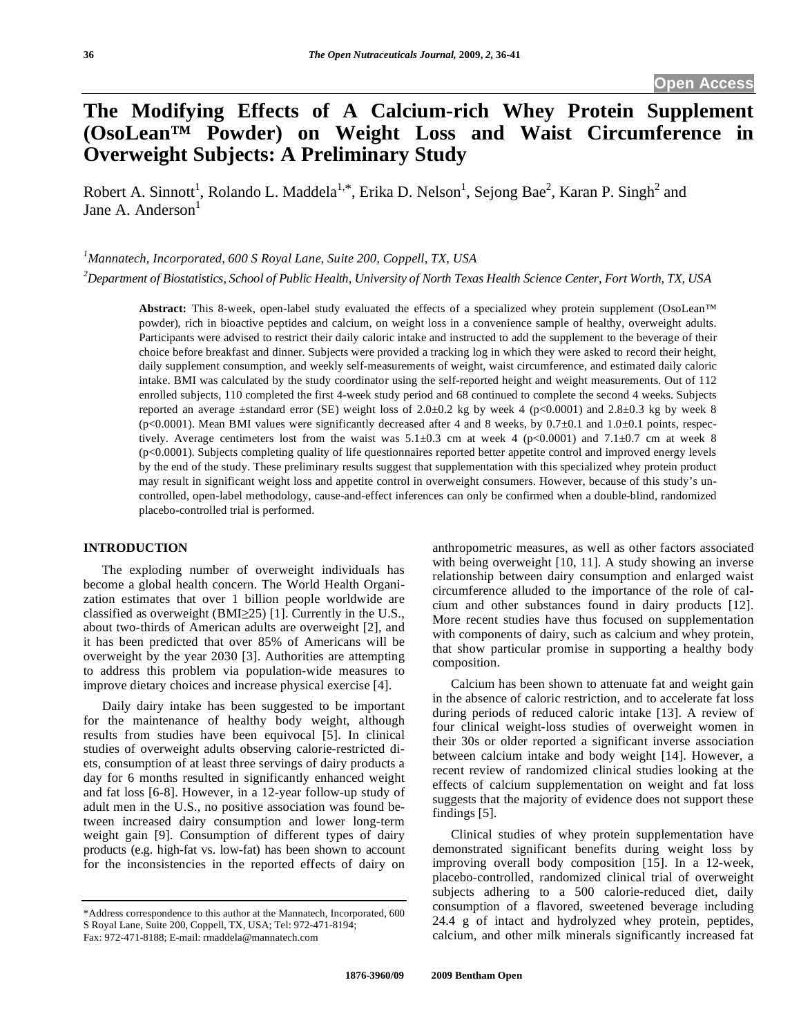# **The Modifying Effects of A Calcium-rich Whey Protein Supplement (OsoLean™ Powder) on Weight Loss and Waist Circumference in Overweight Subjects: A Preliminary Study**

Robert A. Sinnott<sup>1</sup>, Rolando L. Maddela<sup>1,\*</sup>, Erika D. Nelson<sup>1</sup>, Sejong Bae<sup>2</sup>, Karan P. Singh<sup>2</sup> and Jane A. Anderson $<sup>1</sup>$ </sup>

*1 Mannatech, Incorporated, 600 S Royal Lane, Suite 200, Coppell, TX, USA* 

*2 Department of Biostatistics, School of Public Health, University of North Texas Health Science Center, Fort Worth, TX, USA* 

**Abstract:** This 8-week, open-label study evaluated the effects of a specialized whey protein supplement (OsoLean™ powder), rich in bioactive peptides and calcium, on weight loss in a convenience sample of healthy, overweight adults. Participants were advised to restrict their daily caloric intake and instructed to add the supplement to the beverage of their choice before breakfast and dinner. Subjects were provided a tracking log in which they were asked to record their height, daily supplement consumption, and weekly self-measurements of weight, waist circumference, and estimated daily caloric intake. BMI was calculated by the study coordinator using the self-reported height and weight measurements. Out of 112 enrolled subjects, 110 completed the first 4-week study period and 68 continued to complete the second 4 weeks. Subjects reported an average  $\pm$ standard error (SE) weight loss of 2.0 $\pm$ 0.2 kg by week 4 (p<0.0001) and 2.8 $\pm$ 0.3 kg by week 8 (p<0.0001). Mean BMI values were significantly decreased after 4 and 8 weeks, by  $0.7\pm0.1$  and  $1.0\pm0.1$  points, respectively. Average centimeters lost from the waist was  $5.1\pm0.3$  cm at week 4 (p<0.0001) and 7.1 $\pm0.7$  cm at week 8 (p<0.0001). Subjects completing quality of life questionnaires reported better appetite control and improved energy levels by the end of the study. These preliminary results suggest that supplementation with this specialized whey protein product may result in significant weight loss and appetite control in overweight consumers. However, because of this study's uncontrolled, open-label methodology, cause-and-effect inferences can only be confirmed when a double-blind, randomized placebo-controlled trial is performed.

# **INTRODUCTION**

 The exploding number of overweight individuals has become a global health concern. The World Health Organization estimates that over 1 billion people worldwide are classified as overweight (BMI $\geq$ 25) [1]. Currently in the U.S., about two-thirds of American adults are overweight [2], and it has been predicted that over 85% of Americans will be overweight by the year 2030 [3]. Authorities are attempting to address this problem via population-wide measures to improve dietary choices and increase physical exercise [4].

 Daily dairy intake has been suggested to be important for the maintenance of healthy body weight, although results from studies have been equivocal [5]. In clinical studies of overweight adults observing calorie-restricted diets, consumption of at least three servings of dairy products a day for 6 months resulted in significantly enhanced weight and fat loss [6-8]. However, in a 12-year follow-up study of adult men in the U.S., no positive association was found between increased dairy consumption and lower long-term weight gain [9]. Consumption of different types of dairy products (e.g. high-fat vs. low-fat) has been shown to account for the inconsistencies in the reported effects of dairy on

anthropometric measures, as well as other factors associated with being overweight [10, 11]. A study showing an inverse relationship between dairy consumption and enlarged waist circumference alluded to the importance of the role of calcium and other substances found in dairy products [12]. More recent studies have thus focused on supplementation with components of dairy, such as calcium and whey protein, that show particular promise in supporting a healthy body composition.

 Calcium has been shown to attenuate fat and weight gain in the absence of caloric restriction, and to accelerate fat loss during periods of reduced caloric intake [13]. A review of four clinical weight-loss studies of overweight women in their 30s or older reported a significant inverse association between calcium intake and body weight [14]. However, a recent review of randomized clinical studies looking at the effects of calcium supplementation on weight and fat loss suggests that the majority of evidence does not support these findings [5].

 Clinical studies of whey protein supplementation have demonstrated significant benefits during weight loss by improving overall body composition [15]. In a 12-week, placebo-controlled, randomized clinical trial of overweight subjects adhering to a 500 calorie-reduced diet, daily consumption of a flavored, sweetened beverage including 24.4 g of intact and hydrolyzed whey protein, peptides, calcium, and other milk minerals significantly increased fat

<sup>\*</sup>Address correspondence to this author at the Mannatech, Incorporated, 600 S Royal Lane, Suite 200, Coppell, TX, USA; Tel: 972-471-8194; Fax: 972-471-8188; E-mail: rmaddela@mannatech.com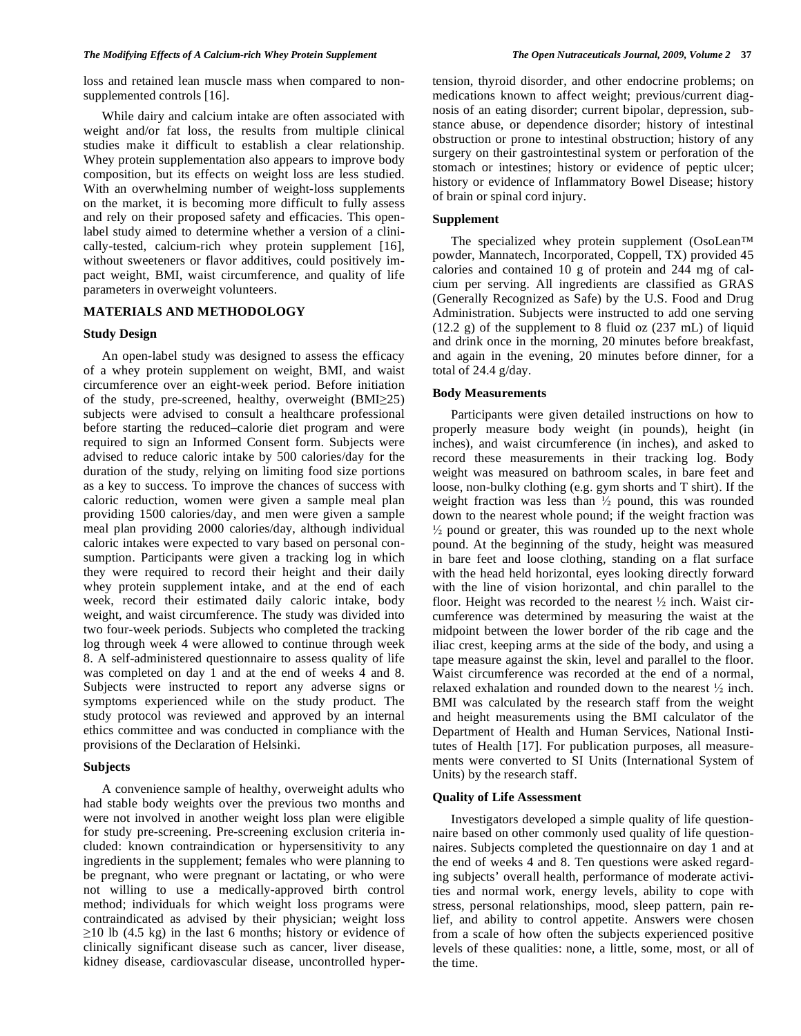loss and retained lean muscle mass when compared to nonsupplemented controls [16].

 While dairy and calcium intake are often associated with weight and/or fat loss, the results from multiple clinical studies make it difficult to establish a clear relationship. Whey protein supplementation also appears to improve body composition, but its effects on weight loss are less studied. With an overwhelming number of weight-loss supplements on the market, it is becoming more difficult to fully assess and rely on their proposed safety and efficacies. This openlabel study aimed to determine whether a version of a clinically-tested, calcium-rich whey protein supplement [16], without sweeteners or flavor additives, could positively impact weight, BMI, waist circumference, and quality of life parameters in overweight volunteers.

## **MATERIALS AND METHODOLOGY**

#### **Study Design**

 An open-label study was designed to assess the efficacy of a whey protein supplement on weight, BMI, and waist circumference over an eight-week period. Before initiation of the study, pre-screened, healthy, overweight  $(BMI<sub>25</sub>)$ subjects were advised to consult a healthcare professional before starting the reduced–calorie diet program and were required to sign an Informed Consent form. Subjects were advised to reduce caloric intake by 500 calories/day for the duration of the study, relying on limiting food size portions as a key to success. To improve the chances of success with caloric reduction, women were given a sample meal plan providing 1500 calories/day, and men were given a sample meal plan providing 2000 calories/day, although individual caloric intakes were expected to vary based on personal consumption. Participants were given a tracking log in which they were required to record their height and their daily whey protein supplement intake, and at the end of each week, record their estimated daily caloric intake, body weight, and waist circumference. The study was divided into two four-week periods. Subjects who completed the tracking log through week 4 were allowed to continue through week 8. A self-administered questionnaire to assess quality of life was completed on day 1 and at the end of weeks 4 and 8. Subjects were instructed to report any adverse signs or symptoms experienced while on the study product. The study protocol was reviewed and approved by an internal ethics committee and was conducted in compliance with the provisions of the Declaration of Helsinki.

#### **Subjects**

 A convenience sample of healthy, overweight adults who had stable body weights over the previous two months and were not involved in another weight loss plan were eligible for study pre-screening. Pre-screening exclusion criteria included: known contraindication or hypersensitivity to any ingredients in the supplement; females who were planning to be pregnant, who were pregnant or lactating, or who were not willing to use a medically-approved birth control method; individuals for which weight loss programs were contraindicated as advised by their physician; weight loss  $\geq$ 10 lb (4.5 kg) in the last 6 months; history or evidence of clinically significant disease such as cancer, liver disease, kidney disease, cardiovascular disease, uncontrolled hypertension, thyroid disorder, and other endocrine problems; on medications known to affect weight; previous/current diagnosis of an eating disorder; current bipolar, depression, substance abuse, or dependence disorder; history of intestinal obstruction or prone to intestinal obstruction; history of any surgery on their gastrointestinal system or perforation of the stomach or intestines; history or evidence of peptic ulcer; history or evidence of Inflammatory Bowel Disease; history of brain or spinal cord injury.

#### **Supplement**

 The specialized whey protein supplement (OsoLean™ powder, Mannatech, Incorporated, Coppell, TX) provided 45 calories and contained 10 g of protein and 244 mg of calcium per serving. All ingredients are classified as GRAS (Generally Recognized as Safe) by the U.S. Food and Drug Administration. Subjects were instructed to add one serving  $(12.2 \text{ g})$  of the supplement to 8 fluid oz  $(237 \text{ mL})$  of liquid and drink once in the morning, 20 minutes before breakfast, and again in the evening, 20 minutes before dinner, for a total of 24.4 g/day.

#### **Body Measurements**

 Participants were given detailed instructions on how to properly measure body weight (in pounds), height (in inches), and waist circumference (in inches), and asked to record these measurements in their tracking log. Body weight was measured on bathroom scales, in bare feet and loose, non-bulky clothing (e.g. gym shorts and T shirt). If the weight fraction was less than  $\frac{1}{2}$  pound, this was rounded down to the nearest whole pound; if the weight fraction was  $\frac{1}{2}$  pound or greater, this was rounded up to the next whole pound. At the beginning of the study, height was measured in bare feet and loose clothing, standing on a flat surface with the head held horizontal, eyes looking directly forward with the line of vision horizontal, and chin parallel to the floor. Height was recorded to the nearest  $\frac{1}{2}$  inch. Waist circumference was determined by measuring the waist at the midpoint between the lower border of the rib cage and the iliac crest, keeping arms at the side of the body, and using a tape measure against the skin, level and parallel to the floor. Waist circumference was recorded at the end of a normal, relaxed exhalation and rounded down to the nearest  $\frac{1}{2}$  inch. BMI was calculated by the research staff from the weight and height measurements using the BMI calculator of the Department of Health and Human Services, National Institutes of Health [17]. For publication purposes, all measurements were converted to SI Units (International System of Units) by the research staff.

## **Quality of Life Assessment**

 Investigators developed a simple quality of life questionnaire based on other commonly used quality of life questionnaires. Subjects completed the questionnaire on day 1 and at the end of weeks 4 and 8. Ten questions were asked regarding subjects' overall health, performance of moderate activities and normal work, energy levels, ability to cope with stress, personal relationships, mood, sleep pattern, pain relief, and ability to control appetite. Answers were chosen from a scale of how often the subjects experienced positive levels of these qualities: none, a little, some, most, or all of the time.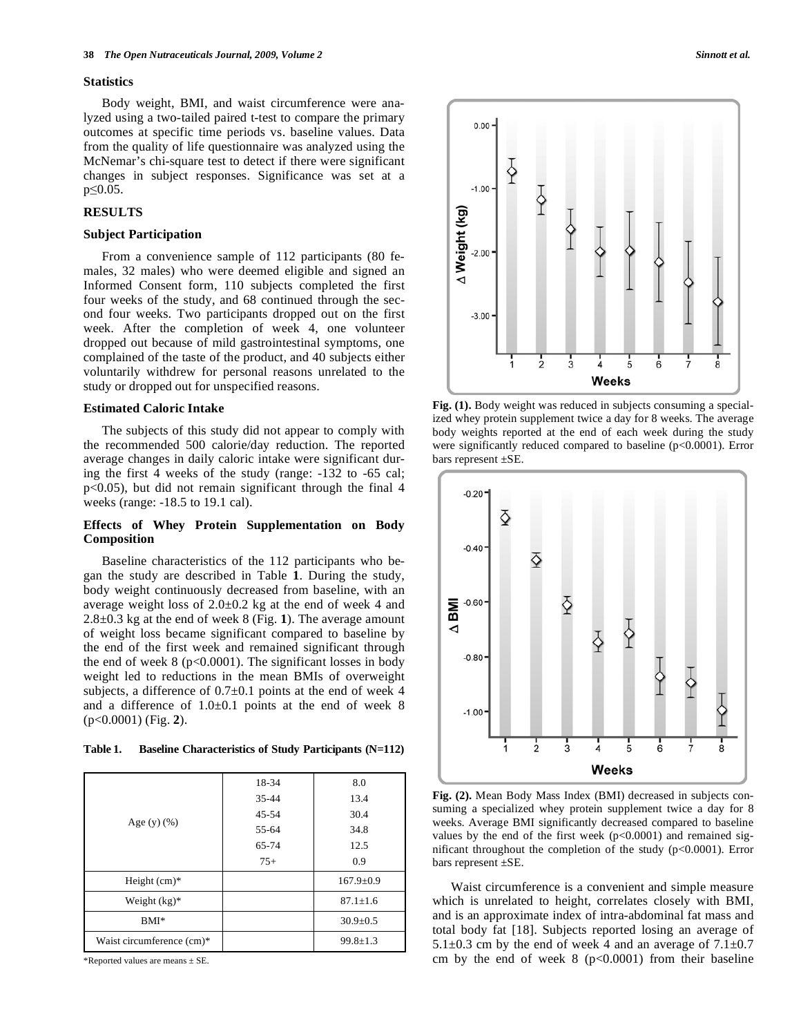#### **Statistics**

 Body weight, BMI, and waist circumference were analyzed using a two-tailed paired t-test to compare the primary outcomes at specific time periods vs. baseline values. Data from the quality of life questionnaire was analyzed using the McNemar's chi-square test to detect if there were significant changes in subject responses. Significance was set at a  $p \leq 0.05$ .

# **RESULTS**

#### **Subject Participation**

 From a convenience sample of 112 participants (80 females, 32 males) who were deemed eligible and signed an Informed Consent form, 110 subjects completed the first four weeks of the study, and 68 continued through the second four weeks. Two participants dropped out on the first week. After the completion of week 4, one volunteer dropped out because of mild gastrointestinal symptoms, one complained of the taste of the product, and 40 subjects either voluntarily withdrew for personal reasons unrelated to the study or dropped out for unspecified reasons.

## **Estimated Caloric Intake**

 The subjects of this study did not appear to comply with the recommended 500 calorie/day reduction. The reported average changes in daily caloric intake were significant during the first 4 weeks of the study (range: -132 to -65 cal; p<0.05), but did not remain significant through the final 4 weeks (range: -18.5 to 19.1 cal).

## **Effects of Whey Protein Supplementation on Body Composition**

 Baseline characteristics of the 112 participants who began the study are described in Table **1**. During the study, body weight continuously decreased from baseline, with an average weight loss of  $2.0 \pm 0.2$  kg at the end of week 4 and 2.8±0.3 kg at the end of week 8 (Fig. **1**). The average amount of weight loss became significant compared to baseline by the end of the first week and remained significant through the end of week  $8$  ( $p<0.0001$ ). The significant losses in body weight led to reductions in the mean BMIs of overweight subjects, a difference of  $0.7\pm0.1$  points at the end of week 4 and a difference of 1.0±0.1 points at the end of week 8 (p<0.0001) (Fig. **2**).

**Table 1. Baseline Characteristics of Study Participants (N=112)** 

| Age $(y)$ $(\%)$          | 18-34     | 8.0             |
|---------------------------|-----------|-----------------|
|                           | $35 - 44$ | 13.4            |
|                           | 45-54     | 30.4            |
|                           | 55-64     | 34.8            |
|                           | 65-74     | 12.5            |
|                           | $75+$     | 0.9             |
| Height $(cm)*$            |           | $167.9 \pm 0.9$ |
| Weight $(kg)^*$           |           | $87.1 \pm 1.6$  |
| $BMI*$                    |           | $30.9 \pm 0.5$  |
| Waist circumference (cm)* |           | $99.8 \pm 1.3$  |

\*Reported values are means  $\pm$  SE.



**Fig. (1).** Body weight was reduced in subjects consuming a specialized whey protein supplement twice a day for 8 weeks. The average body weights reported at the end of each week during the study were significantly reduced compared to baseline (p<0.0001). Error bars represent ±SE.



**Fig. (2).** Mean Body Mass Index (BMI) decreased in subjects consuming a specialized whey protein supplement twice a day for 8 weeks. Average BMI significantly decreased compared to baseline values by the end of the first week  $(p<0.0001)$  and remained significant throughout the completion of the study (p<0.0001). Error bars represent ±SE.

 Waist circumference is a convenient and simple measure which is unrelated to height, correlates closely with BMI, and is an approximate index of intra-abdominal fat mass and total body fat [18]. Subjects reported losing an average of 5.1 $\pm$ 0.3 cm by the end of week 4 and an average of 7.1 $\pm$ 0.7 cm by the end of week  $8 \frac{\text{p}}{\text{0.0001}}$  from their baseline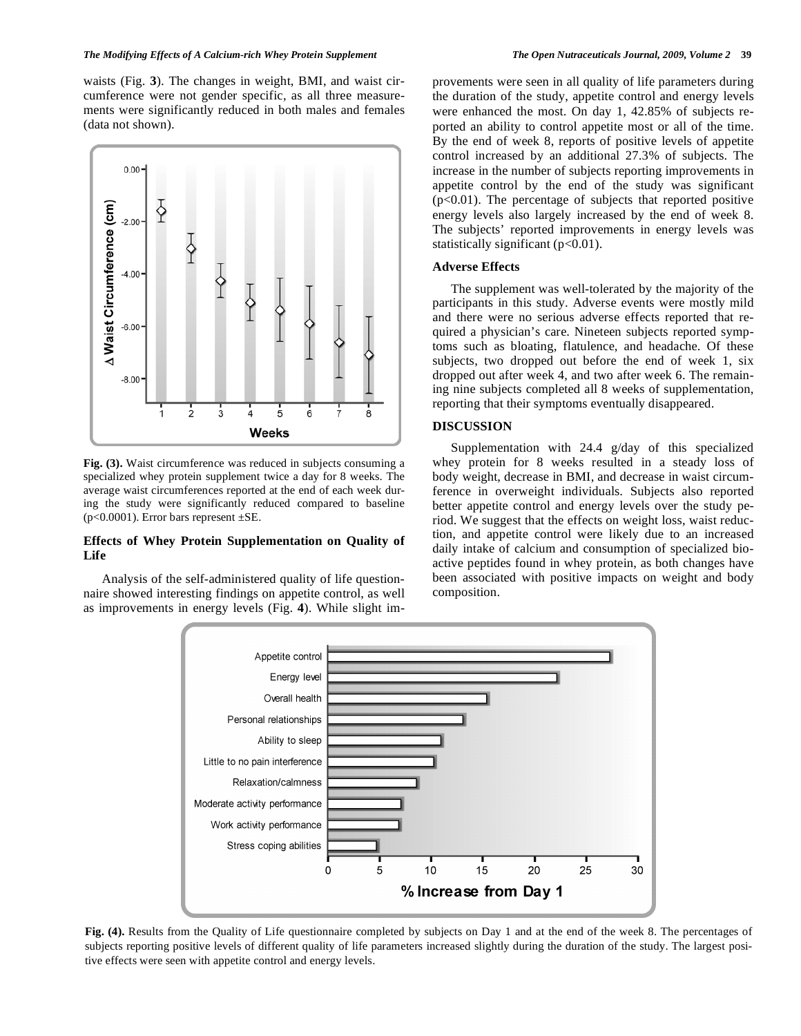#### *The Modifying Effects of A Calcium-rich Whey Protein Supplement The Open Nutraceuticals Journal, 2009, Volume 2* **39**

waists (Fig. **3**). The changes in weight, BMI, and waist circumference were not gender specific, as all three measurements were significantly reduced in both males and females (data not shown).



**Fig. (3).** Waist circumference was reduced in subjects consuming a specialized whey protein supplement twice a day for 8 weeks. The average waist circumferences reported at the end of each week during the study were significantly reduced compared to baseline ( $p<0.0001$ ). Error bars represent  $\pm$ SE.

# **Effects of Whey Protein Supplementation on Quality of Life**

 Analysis of the self-administered quality of life questionnaire showed interesting findings on appetite control, as well as improvements in energy levels (Fig. **4**). While slight improvements were seen in all quality of life parameters during the duration of the study, appetite control and energy levels were enhanced the most. On day 1, 42.85% of subjects reported an ability to control appetite most or all of the time. By the end of week 8, reports of positive levels of appetite control increased by an additional 27.3% of subjects. The increase in the number of subjects reporting improvements in appetite control by the end of the study was significant  $(p<0.01)$ . The percentage of subjects that reported positive energy levels also largely increased by the end of week 8. The subjects' reported improvements in energy levels was statistically significant  $(p<0.01)$ .

# **Adverse Effects**

 The supplement was well-tolerated by the majority of the participants in this study. Adverse events were mostly mild and there were no serious adverse effects reported that required a physician's care. Nineteen subjects reported symptoms such as bloating, flatulence, and headache. Of these subjects, two dropped out before the end of week 1, six dropped out after week 4, and two after week 6. The remaining nine subjects completed all 8 weeks of supplementation, reporting that their symptoms eventually disappeared.

# **DISCUSSION**

 Supplementation with 24.4 g/day of this specialized whey protein for 8 weeks resulted in a steady loss of body weight, decrease in BMI, and decrease in waist circumference in overweight individuals. Subjects also reported better appetite control and energy levels over the study period. We suggest that the effects on weight loss, waist reduction, and appetite control were likely due to an increased daily intake of calcium and consumption of specialized bioactive peptides found in whey protein, as both changes have been associated with positive impacts on weight and body composition.



**Fig. (4).** Results from the Quality of Life questionnaire completed by subjects on Day 1 and at the end of the week 8. The percentages of subjects reporting positive levels of different quality of life parameters increased slightly during the duration of the study. The largest positive effects were seen with appetite control and energy levels.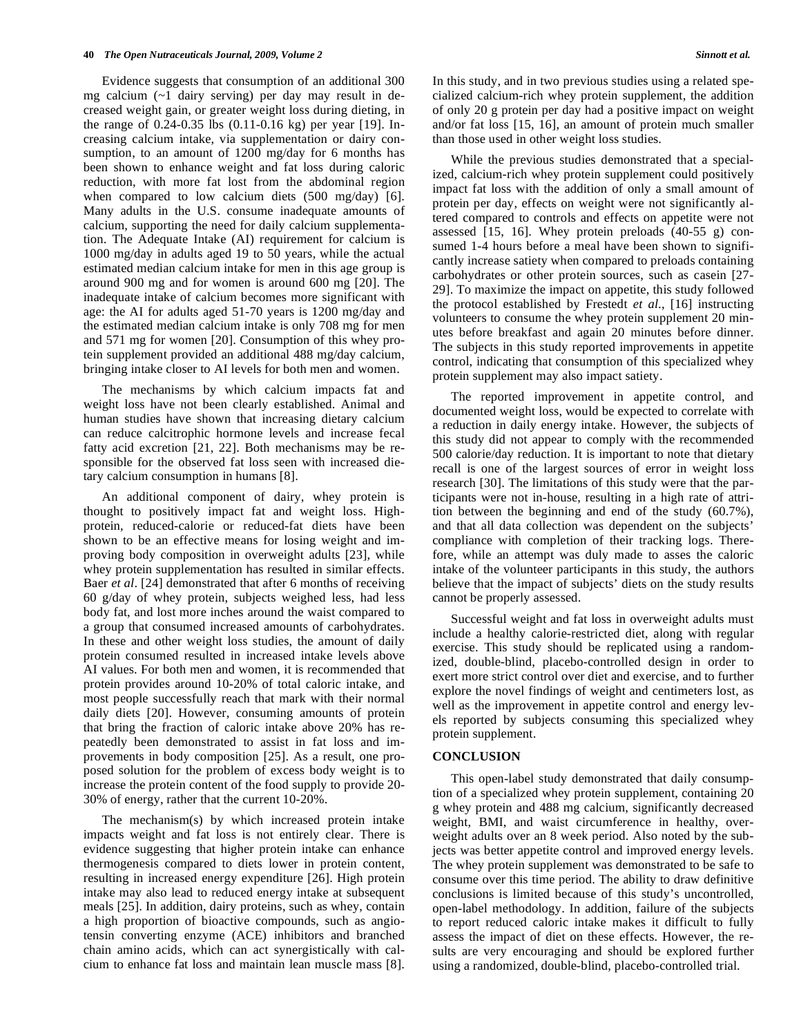Evidence suggests that consumption of an additional 300 mg calcium (~1 dairy serving) per day may result in decreased weight gain, or greater weight loss during dieting, in the range of 0.24-0.35 lbs (0.11-0.16 kg) per year [19]. Increasing calcium intake, via supplementation or dairy consumption, to an amount of 1200 mg/day for 6 months has been shown to enhance weight and fat loss during caloric reduction, with more fat lost from the abdominal region when compared to low calcium diets (500 mg/day) [6]. Many adults in the U.S. consume inadequate amounts of calcium, supporting the need for daily calcium supplementation. The Adequate Intake (AI) requirement for calcium is 1000 mg/day in adults aged 19 to 50 years, while the actual estimated median calcium intake for men in this age group is around 900 mg and for women is around 600 mg [20]. The inadequate intake of calcium becomes more significant with age: the AI for adults aged 51-70 years is 1200 mg/day and the estimated median calcium intake is only 708 mg for men and 571 mg for women [20]. Consumption of this whey protein supplement provided an additional 488 mg/day calcium, bringing intake closer to AI levels for both men and women.

 The mechanisms by which calcium impacts fat and weight loss have not been clearly established. Animal and human studies have shown that increasing dietary calcium can reduce calcitrophic hormone levels and increase fecal fatty acid excretion [21, 22]. Both mechanisms may be responsible for the observed fat loss seen with increased dietary calcium consumption in humans [8].

 An additional component of dairy, whey protein is thought to positively impact fat and weight loss. Highprotein, reduced-calorie or reduced-fat diets have been shown to be an effective means for losing weight and improving body composition in overweight adults [23], while whey protein supplementation has resulted in similar effects. Baer *et al*. [24] demonstrated that after 6 months of receiving 60 g/day of whey protein, subjects weighed less, had less body fat, and lost more inches around the waist compared to a group that consumed increased amounts of carbohydrates. In these and other weight loss studies, the amount of daily protein consumed resulted in increased intake levels above AI values. For both men and women, it is recommended that protein provides around 10-20% of total caloric intake, and most people successfully reach that mark with their normal daily diets [20]. However, consuming amounts of protein that bring the fraction of caloric intake above 20% has repeatedly been demonstrated to assist in fat loss and improvements in body composition [25]. As a result, one proposed solution for the problem of excess body weight is to increase the protein content of the food supply to provide 20- 30% of energy, rather that the current 10-20%.

 The mechanism(s) by which increased protein intake impacts weight and fat loss is not entirely clear. There is evidence suggesting that higher protein intake can enhance thermogenesis compared to diets lower in protein content, resulting in increased energy expenditure [26]. High protein intake may also lead to reduced energy intake at subsequent meals [25]. In addition, dairy proteins, such as whey, contain a high proportion of bioactive compounds, such as angiotensin converting enzyme (ACE) inhibitors and branched chain amino acids, which can act synergistically with calcium to enhance fat loss and maintain lean muscle mass [8]. In this study, and in two previous studies using a related specialized calcium-rich whey protein supplement, the addition of only 20 g protein per day had a positive impact on weight and/or fat loss [15, 16], an amount of protein much smaller than those used in other weight loss studies.

 While the previous studies demonstrated that a specialized, calcium-rich whey protein supplement could positively impact fat loss with the addition of only a small amount of protein per day, effects on weight were not significantly altered compared to controls and effects on appetite were not assessed [15, 16]. Whey protein preloads (40-55 g) consumed 1-4 hours before a meal have been shown to significantly increase satiety when compared to preloads containing carbohydrates or other protein sources, such as casein [27- 29]. To maximize the impact on appetite, this study followed the protocol established by Frestedt *et al*., [16] instructing volunteers to consume the whey protein supplement 20 minutes before breakfast and again 20 minutes before dinner. The subjects in this study reported improvements in appetite control, indicating that consumption of this specialized whey protein supplement may also impact satiety.

 The reported improvement in appetite control, and documented weight loss, would be expected to correlate with a reduction in daily energy intake. However, the subjects of this study did not appear to comply with the recommended 500 calorie/day reduction. It is important to note that dietary recall is one of the largest sources of error in weight loss research [30]. The limitations of this study were that the participants were not in-house, resulting in a high rate of attrition between the beginning and end of the study (60.7%), and that all data collection was dependent on the subjects' compliance with completion of their tracking logs. Therefore, while an attempt was duly made to asses the caloric intake of the volunteer participants in this study, the authors believe that the impact of subjects' diets on the study results cannot be properly assessed.

 Successful weight and fat loss in overweight adults must include a healthy calorie-restricted diet, along with regular exercise. This study should be replicated using a randomized, double-blind, placebo-controlled design in order to exert more strict control over diet and exercise, and to further explore the novel findings of weight and centimeters lost, as well as the improvement in appetite control and energy levels reported by subjects consuming this specialized whey protein supplement.

## **CONCLUSION**

 This open-label study demonstrated that daily consumption of a specialized whey protein supplement, containing 20 g whey protein and 488 mg calcium, significantly decreased weight, BMI, and waist circumference in healthy, overweight adults over an 8 week period. Also noted by the subjects was better appetite control and improved energy levels. The whey protein supplement was demonstrated to be safe to consume over this time period. The ability to draw definitive conclusions is limited because of this study's uncontrolled, open-label methodology. In addition, failure of the subjects to report reduced caloric intake makes it difficult to fully assess the impact of diet on these effects. However, the results are very encouraging and should be explored further using a randomized, double-blind, placebo-controlled trial.